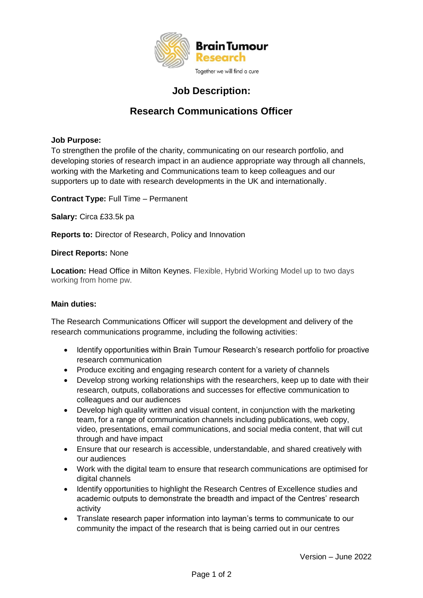

## **Job Description:**

# **Research Communications Officer**

### **Job Purpose:**

To strengthen the profile of the charity, communicating on our research portfolio, and developing stories of research impact in an audience appropriate way through all channels, working with the Marketing and Communications team to keep colleagues and our supporters up to date with research developments in the UK and internationally.

**Contract Type:** Full Time – Permanent

**Salary:** Circa £33.5k pa

**Reports to:** Director of Research, Policy and Innovation

#### **Direct Reports:** None

**Location:** Head Office in Milton Keynes. Flexible, Hybrid Working Model up to two days working from home pw.

#### **Main duties:**

The Research Communications Officer will support the development and delivery of the research communications programme, including the following activities:

- Identify opportunities within Brain Tumour Research's research portfolio for proactive research communication
- Produce exciting and engaging research content for a variety of channels
- Develop strong working relationships with the researchers, keep up to date with their research, outputs, collaborations and successes for effective communication to colleagues and our audiences
- Develop high quality written and visual content, in conjunction with the marketing team, for a range of communication channels including publications, web copy, video, presentations, email communications, and social media content, that will cut through and have impact
- Ensure that our research is accessible, understandable, and shared creatively with our audiences
- Work with the digital team to ensure that research communications are optimised for digital channels
- Identify opportunities to highlight the Research Centres of Excellence studies and academic outputs to demonstrate the breadth and impact of the Centres' research activity
- Translate research paper information into layman's terms to communicate to our community the impact of the research that is being carried out in our centres